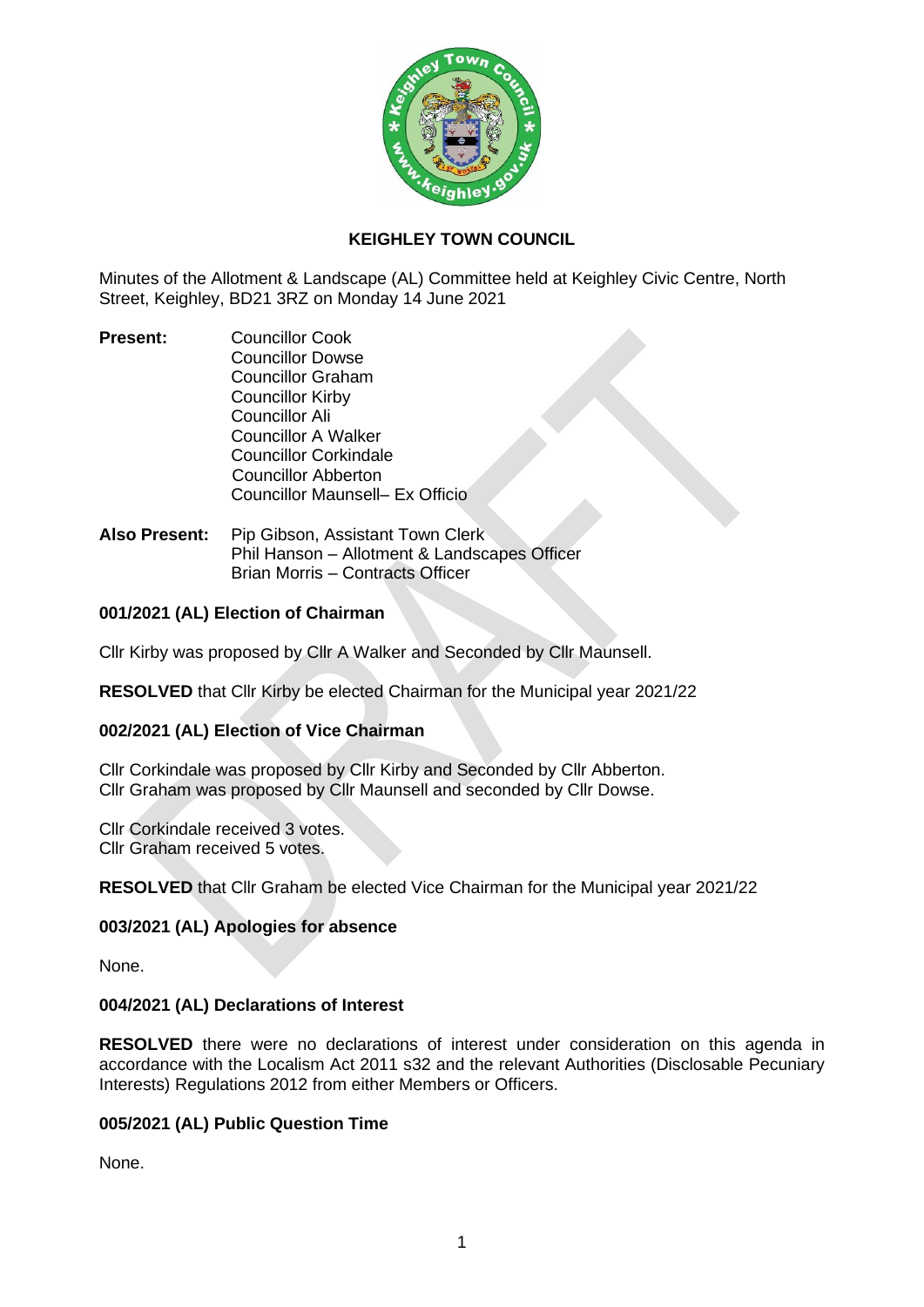

# **KEIGHLEY TOWN COUNCIL**

Minutes of the Allotment & Landscape (AL) Committee held at Keighley Civic Centre, North Street, Keighley, BD21 3RZ on Monday 14 June 2021

- **Present:** Councillor Cook Councillor Dowse Councillor Graham Councillor Kirby Councillor Ali Councillor A Walker Councillor Corkindale Councillor Abberton Councillor Maunsell– Ex Officio
- **Also Present:** Pip Gibson, Assistant Town Clerk Phil Hanson – Allotment & Landscapes Officer Brian Morris – Contracts Officer

# **001/2021 (AL) Election of Chairman**

Cllr Kirby was proposed by Cllr A Walker and Seconded by Cllr Maunsell.

**RESOLVED** that Cllr Kirby be elected Chairman for the Municipal year 2021/22

# **002/2021 (AL) Election of Vice Chairman**

Cllr Corkindale was proposed by Cllr Kirby and Seconded by Cllr Abberton. Cllr Graham was proposed by Cllr Maunsell and seconded by Cllr Dowse.

Cllr Corkindale received 3 votes. Cllr Graham received 5 votes.

**RESOLVED** that Cllr Graham be elected Vice Chairman for the Municipal year 2021/22

# **003/2021 (AL) Apologies for absence**

None.

# **004/2021 (AL) Declarations of Interest**

**RESOLVED** there were no declarations of interest under consideration on this agenda in accordance with the Localism Act 2011 s32 and the relevant Authorities (Disclosable Pecuniary Interests) Regulations 2012 from either Members or Officers.

# **005/2021 (AL) Public Question Time**

None.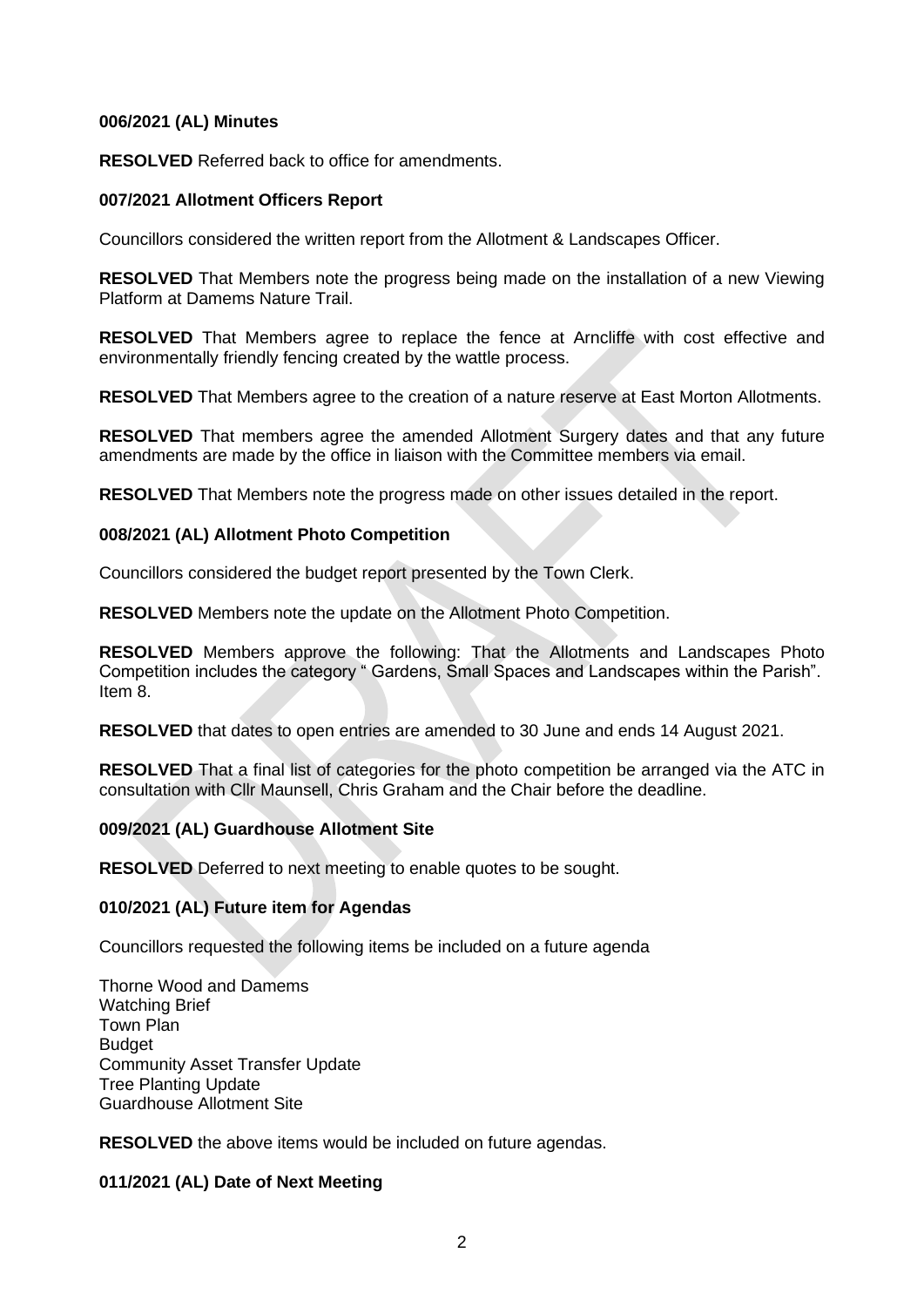### **006/2021 (AL) Minutes**

**RESOLVED** Referred back to office for amendments.

### **007/2021 Allotment Officers Report**

Councillors considered the written report from the Allotment & Landscapes Officer.

**RESOLVED** That Members note the progress being made on the installation of a new Viewing Platform at Damems Nature Trail.

**RESOLVED** That Members agree to replace the fence at Arncliffe with cost effective and environmentally friendly fencing created by the wattle process.

**RESOLVED** That Members agree to the creation of a nature reserve at East Morton Allotments.

**RESOLVED** That members agree the amended Allotment Surgery dates and that any future amendments are made by the office in liaison with the Committee members via email.

**RESOLVED** That Members note the progress made on other issues detailed in the report.

### **008/2021 (AL) Allotment Photo Competition**

Councillors considered the budget report presented by the Town Clerk.

**RESOLVED** Members note the update on the Allotment Photo Competition.

**RESOLVED** Members approve the following: That the Allotments and Landscapes Photo Competition includes the category " Gardens, Small Spaces and Landscapes within the Parish". Item 8.

**RESOLVED** that dates to open entries are amended to 30 June and ends 14 August 2021.

**RESOLVED** That a final list of categories for the photo competition be arranged via the ATC in consultation with Cllr Maunsell, Chris Graham and the Chair before the deadline.

# **009/2021 (AL) Guardhouse Allotment Site**

**RESOLVED** Deferred to next meeting to enable quotes to be sought.

# **010/2021 (AL) Future item for Agendas**

Councillors requested the following items be included on a future agenda

Thorne Wood and Damems Watching Brief Town Plan Budget Community Asset Transfer Update Tree Planting Update Guardhouse Allotment Site

**RESOLVED** the above items would be included on future agendas.

# **011/2021 (AL) Date of Next Meeting**